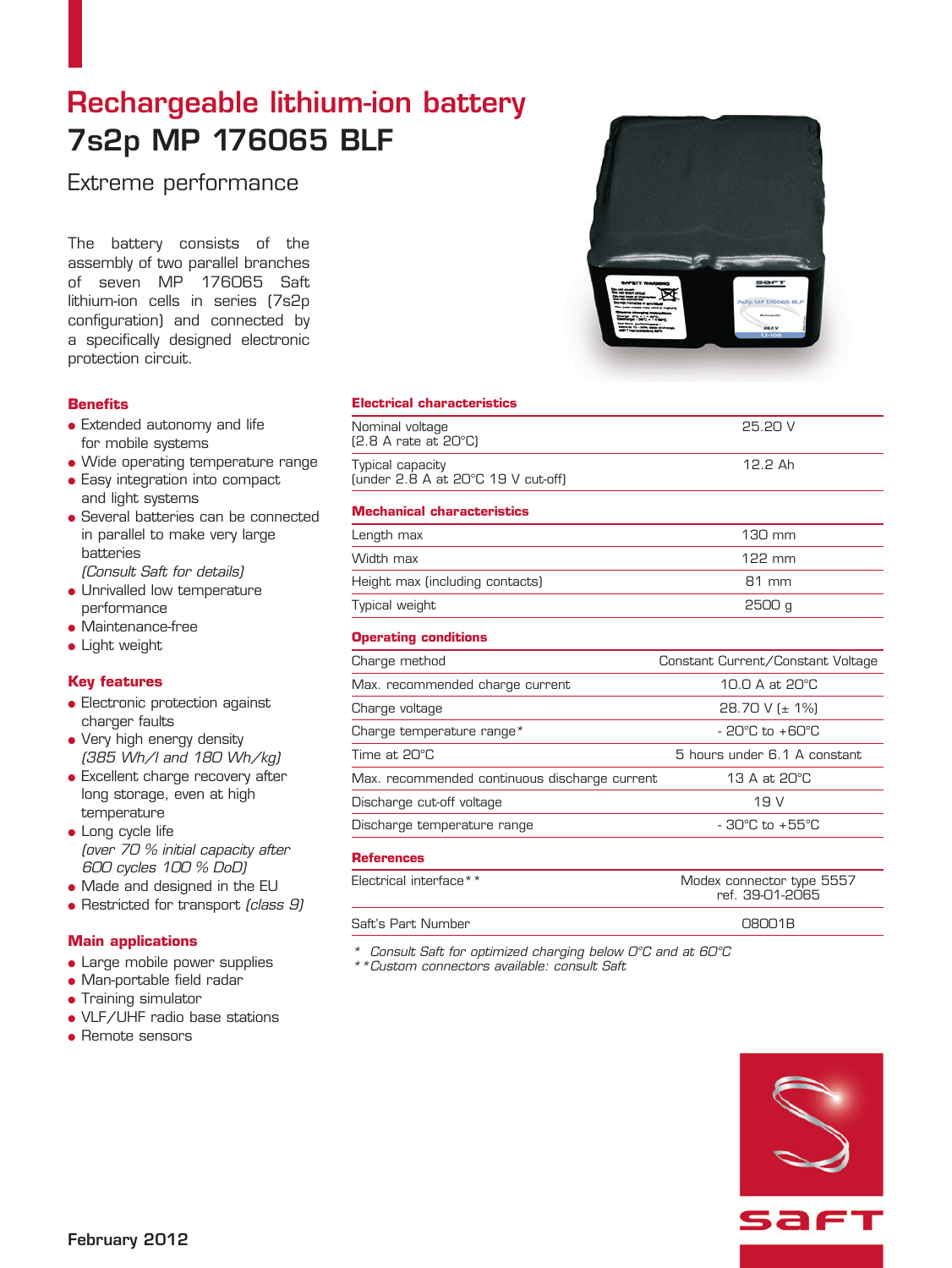# Rechargeable lithium-ion battery 7s2p MP 176065 BLF

Extreme performance

The battery consists of the assembly of two parallel branches of seven MP 176065 Saft lithium-ion cells in series (7s2p configuration) and connected by a specifically designed electronic protection circuit.

### **Benefits**

- Extended autonomy and life for mobile systems
- Wide operating temperature range
- **.** Easy integration into compact and light systems
- Several batteries can be connected in parallel to make very large batteries

(Consult Saft for details)

- Unrivalled low temperature performance
- $\bullet$  Maintenance-free
- $\bullet$  Light weight

# **Key features**

- **e** Electronic protection against charger faults
- Very high energy density (385 Wh/l and 180 Wh/kg)
- Excellent charge recovery after long storage, even at high temperature
- $\bullet$  Long cycle life (over 70 % initial capacity after 600 cycles 100 % DoD)
- Made and designed in the EU
- $\bullet$  Restricted for transport (class  $9$ )

# **Main applications**

- Large mobile power supplies
- Man-portable field radar
- **Training simulator**
- VLF/UHF radio base stations
- $\bullet$  Remote sensors

### **Electrical characteristics**

| Nominal voltage<br>$[2.8 \text{ A rate at } 20^{\circ}\text{C}]$   | 25.20 V |
|--------------------------------------------------------------------|---------|
| Typical capacity<br>(under $2.8$ A at $20^{\circ}$ C 19 V cut-off) | 12.2 Ah |

### **Mechanical characteristics**

| Length max                      | $130 \text{ mm}$ |
|---------------------------------|------------------|
| Width max                       | 122 mm           |
| Height max (including contacts) | $R1$ mm          |
| Typical weight                  | 2500 g           |

### **Operating conditions**

| Charge method                                 | Constant Current/Constant Voltage  |
|-----------------------------------------------|------------------------------------|
| Max. recommended charge current               | 10.0 A at 20°C                     |
| Charge voltage                                | 28.70 V ( $\pm$ 1%)                |
| Charge temperature range*                     | $-20^{\circ}$ C to $+60^{\circ}$ C |
| Time at 20°C                                  | 5 hours under 6.1 A constant       |
| Max. recommended continuous discharge current | 13 A at 20°C                       |
| Discharge cut-off voltage                     | 19 V                               |
| Discharge temperature range                   | $-30^{\circ}$ C to $+55^{\circ}$ C |
|                                               |                                    |

#### **References**

| Modex connector type 5557<br>ref. 39-01-2065 |
|----------------------------------------------|
| O8OO1B                                       |
|                                              |

\* Consult Saft for optimized charging below 0°C and at 60°C

\*\*Custom connectors available: consult Saft